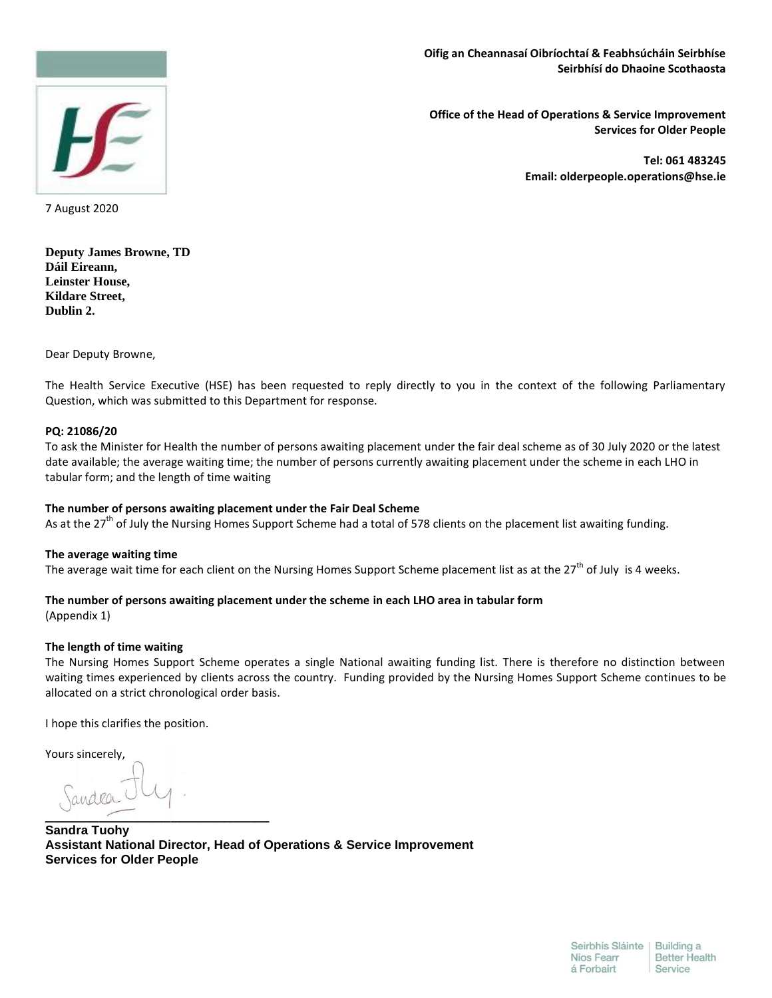## **Oifig an Cheannasaí Oibríochtaí & Feabhsúcháin Seirbhíse Seirbhísí do Dhaoine Scothaosta**



 **Office of the Head of Operations & Service Improvement Services for Older People**

> **Tel: 061 483245 Email: olderpeople.operations@hse.ie**

7 August 2020

**Deputy James Browne, TD Dáil Eireann, Leinster House, Kildare Street, Dublin 2.**

Dear Deputy Browne,

The Health Service Executive (HSE) has been requested to reply directly to you in the context of the following Parliamentary Question, which was submitted to this Department for response.

### **PQ: 21086/20**

To ask the Minister for Health the number of persons awaiting placement under the fair deal scheme as of 30 July 2020 or the latest date available; the average waiting time; the number of persons currently awaiting placement under the scheme in each LHO in tabular form; and the length of time waiting

## **The number of persons awaiting placement under the Fair Deal Scheme**

As at the 27<sup>th</sup> of July the Nursing Homes Support Scheme had a total of 578 clients on the placement list awaiting funding.

#### **The average waiting time**

The average wait time for each client on the Nursing Homes Support Scheme placement list as at the 27<sup>th</sup> of July is 4 weeks.

## **The number of persons awaiting placement under the scheme in each LHO area in tabular form**

(Appendix 1)

## **The length of time waiting**

The Nursing Homes Support Scheme operates a single National awaiting funding list. There is therefore no distinction between waiting times experienced by clients across the country. Funding provided by the Nursing Homes Support Scheme continues to be allocated on a strict chronological order basis.

I hope this clarifies the position.

Yours sincerely,

**\_\_\_\_\_\_\_\_\_\_\_\_\_\_\_\_\_\_\_\_\_\_\_\_\_**

**Sandra Tuohy Assistant National Director, Head of Operations & Service Improvement Services for Older People**